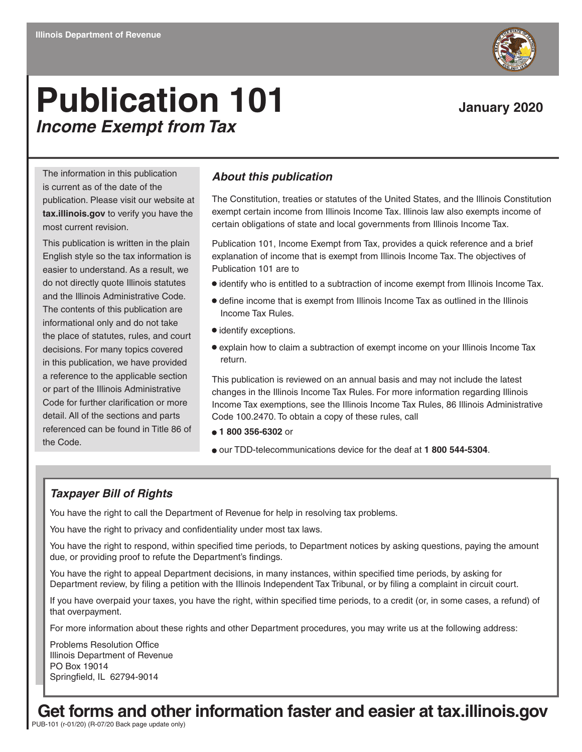# **Publication 101** January 2020 *Income Exempt from Tax*

The information in this publication is current as of the date of the publication. Please visit our website at **tax.illinois.gov** to verify you have the most current revision.

This publication is written in the plain English style so the tax information is easier to understand. As a result, we do not directly quote Illinois statutes and the Illinois Administrative Code. The contents of this publication are informational only and do not take the place of statutes, rules, and court decisions. For many topics covered in this publication, we have provided a reference to the applicable section or part of the Illinois Administrative Code for further clarification or more detail. All of the sections and parts referenced can be found in Title 86 of the Code.

#### *About this publication*

The Constitution, treaties or statutes of the United States, and the Illinois Constitution exempt certain income from Illinois Income Tax. Illinois law also exempts income of certain obligations of state and local governments from Illinois Income Tax.

Publication 101, Income Exempt from Tax, provides a quick reference and a brief explanation of income that is exempt from Illinois Income Tax. The objectives of Publication 101 are to

- $\bullet$  identify who is entitled to a subtraction of income exempt from Illinois Income Tax.
- define income that is exempt from Illinois Income Tax as outlined in the Illinois Income Tax Rules.
- $\bullet$  identify exceptions.
- explain how to claim a subtraction of exempt income on your Illinois Income Tax return.

This publication is reviewed on an annual basis and may not include the latest changes in the Illinois Income Tax Rules. For more information regarding Illinois Income Tax exemptions, see the Illinois Income Tax Rules, 86 Illinois Administrative Code 100.2470. To obtain a copy of these rules, call

- **1 800 356-6302** or
- our TDD-telecommunications device for the deaf at **1 800 544-5304**.

#### *Taxpayer Bill of Rights*

You have the right to call the Department of Revenue for help in resolving tax problems.

You have the right to privacy and confidentiality under most tax laws.

You have the right to respond, within specified time periods, to Department notices by asking questions, paying the amount due, or providing proof to refute the Department's findings.

publication (redenandent Text Tribune Department review, by filing a petition with the Illinois Independent Tax Tribunal, or by filing a complaint in circuit court. You have the right to appeal Department decisions, in many instances, within specified time periods, by asking for

If you have overpaid your taxes, you have the right, within specified time periods, to a credit (or, in some cases, a refund) of that overpayment.

For more information about these rights and other Department procedures, you may write us at the following address:

Problems Resolution Office Illinois Department of Revenue PO Box 19014 Springfield, IL 62794-9014

**Get forms and other information faster and easier at tax.illinois.gov**

PUB-101 (r-01/20) (R-07/20 Back page update only)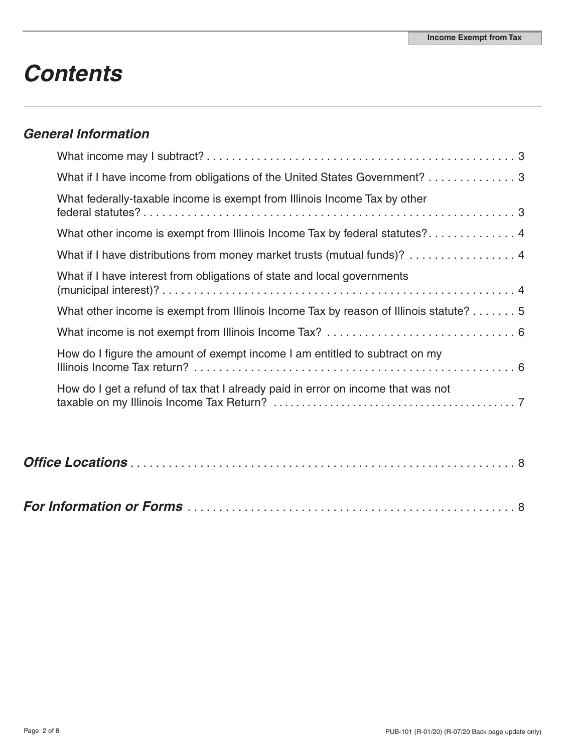# *Contents*

# *General Information*

| What if I have income from obligations of the United States Government? 3             |
|---------------------------------------------------------------------------------------|
| What federally-taxable income is exempt from Illinois Income Tax by other             |
| What other income is exempt from Illinois Income Tax by federal statutes? 4           |
| What if I have distributions from money market trusts (mutual funds)? 4               |
| What if I have interest from obligations of state and local governments               |
| What other income is exempt from Illinois Income Tax by reason of Illinois statute? 5 |
|                                                                                       |
| How do I figure the amount of exempt income I am entitled to subtract on my           |
| How do I get a refund of tax that I already paid in error on income that was not      |

|--|--|--|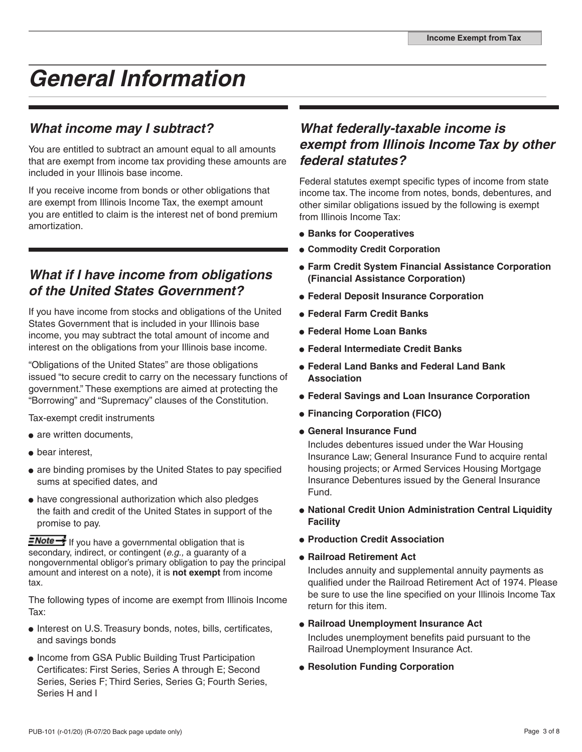# *General Information*

# *What income may I subtract?*

You are entitled to subtract an amount equal to all amounts that are exempt from income tax providing these amounts are included in your Illinois base income.

If you receive income from bonds or other obligations that are exempt from Illinois Income Tax, the exempt amount you are entitled to claim is the interest net of bond premium amortization.

# *What if I have income from obligations of the United States Government?*

If you have income from stocks and obligations of the United States Government that is included in your Illinois base income, you may subtract the total amount of income and interest on the obligations from your Illinois base income.

"Obligations of the United States" are those obligations issued "to secure credit to carry on the necessary functions of government." These exemptions are aimed at protecting the "Borrowing" and "Supremacy" clauses of the Constitution.

Tax-exempt credit instruments

- are written documents,
- bear interest.
- are binding promises by the United States to pay specified sums at specified dates, and
- have congressional authorization which also pledges the faith and credit of the United States in support of the promise to pay.

**ENote +** If you have a governmental obligation that is secondary, indirect, or contingent (*e.g.,* a guaranty of a nongovernmental obligor's primary obligation to pay the principal amount and interest on a note), it is **not exempt** from income tax.

The following types of income are exempt from Illinois Income Tax:

- Interest on U.S. Treasury bonds, notes, bills, certificates, and savings bonds
- Income from GSA Public Building Trust Participation Certificates: First Series, Series A through E; Second Series, Series F; Third Series, Series G; Fourth Series, Series H and I

## *What federally-taxable income is exempt from Illinois Income Tax by other federal statutes?*

Federal statutes exempt specific types of income from state income tax. The income from notes, bonds, debentures, and other similar obligations issued by the following is exempt from Illinois Income Tax:

- $\bullet$  **Banks for Cooperatives**
- **Commodity Credit Corporation**
- **Farm Credit System Financial Assistance Corporation (Financial Assistance Corporation)**
- **Federal Deposit Insurance Corporation**
- **Federal Farm Credit Banks**
- **Federal Home Loan Banks**
- **Federal Intermediate Credit Banks**
- **Federal Land Banks and Federal Land Bank Association**
- **Federal Savings and Loan Insurance Corporation**
- **Financing Corporation (FICO)**
- **General Insurance Fund**

Includes debentures issued under the War Housing Insurance Law; General Insurance Fund to acquire rental housing projects; or Armed Services Housing Mortgage Insurance Debentures issued by the General Insurance Fund.

- **National Credit Union Administration Central Liquidity Facility**
- **Production Credit Association**
- **Railroad Retirement Act**

Includes annuity and supplemental annuity payments as qualified under the Railroad Retirement Act of 1974. Please be sure to use the line specified on your Illinois Income Tax return for this item.

- **Railroad Unemployment Insurance Act**  Includes unemployment benefits paid pursuant to the Railroad Unemployment Insurance Act.
- **Resolution Funding Corporation**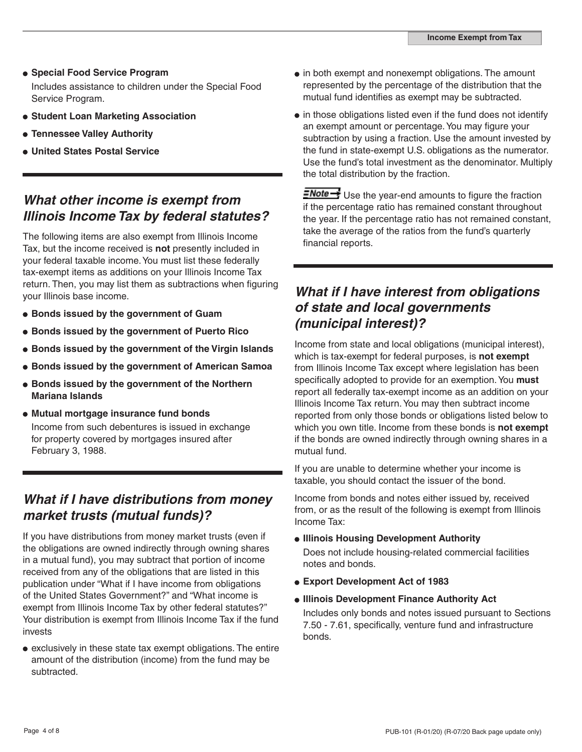- **Special Food Service Program**  Includes assistance to children under the Special Food Service Program.
- **Student Loan Marketing Association**
- **Tennessee Valley Authority**
- **United States Postal Service**

### *What other income is exempt from Illinois Income Tax by federal statutes?*

The following items are also exempt from Illinois Income Tax, but the income received is **not** presently included in your federal taxable income. You must list these federally tax-exempt items as additions on your Illinois Income Tax return. Then, you may list them as subtractions when figuring your Illinois base income.

- **Bonds issued by the government of Guam**
- **Bonds issued by the government of Puerto Rico**
- **Bonds issued by the government of the Virgin Islands**
- **Bonds issued by the government of American Samoa**
- **Bonds issued by the government of the Northern Mariana Islands**
- **Mutual mortgage insurance fund bonds** Income from such debentures is issued in exchange for property covered by mortgages insured after February 3, 1988.

#### *What if I have distributions from money market trusts (mutual funds)?*

If you have distributions from money market trusts (even if the obligations are owned indirectly through owning shares in a mutual fund), you may subtract that portion of income received from any of the obligations that are listed in this publication under "What if I have income from obligations of the United States Government?" and "What income is exempt from Illinois Income Tax by other federal statutes?" Your distribution is exempt from Illinois Income Tax if the fund invests

exclusively in these state tax exempt obligations. The entire amount of the distribution (income) from the fund may be subtracted.

- in both exempt and nonexempt obligations. The amount represented by the percentage of the distribution that the mutual fund identifies as exempt may be subtracted.
- $\bullet$  in those obligations listed even if the fund does not identify an exempt amount or percentage. You may figure your subtraction by using a fraction. Use the amount invested by the fund in state-exempt U.S. obligations as the numerator. Use the fund's total investment as the denominator. Multiply the total distribution by the fraction.

 $\frac{1}{\sqrt{1-\frac{1}{c}}}$  Use the year-end amounts to figure the fraction if the percentage ratio has remained constant throughout the year. If the percentage ratio has not remained constant, take the average of the ratios from the fund's quarterly financial reports.

### *What if I have interest from obligations of state and local governments (municipal interest)?*

Income from state and local obligations (municipal interest), which is tax-exempt for federal purposes, is **not exempt** from Illinois Income Tax except where legislation has been specifically adopted to provide for an exemption. You **must** report all federally tax-exempt income as an addition on your Illinois Income Tax return. You may then subtract income reported from only those bonds or obligations listed below to which you own title. Income from these bonds is **not exempt** if the bonds are owned indirectly through owning shares in a mutual fund.

If you are unable to determine whether your income is taxable, you should contact the issuer of the bond.

Income from bonds and notes either issued by, received from, or as the result of the following is exempt from Illinois Income Tax:

- **Illinois Housing Development Authority** Does not include housing-related commercial facilities notes and bonds.
- **Export Development Act of 1983**
- **Illinois Development Finance Authority Act**

Includes only bonds and notes issued pursuant to Sections 7.50 - 7.61, specifically, venture fund and infrastructure bonds.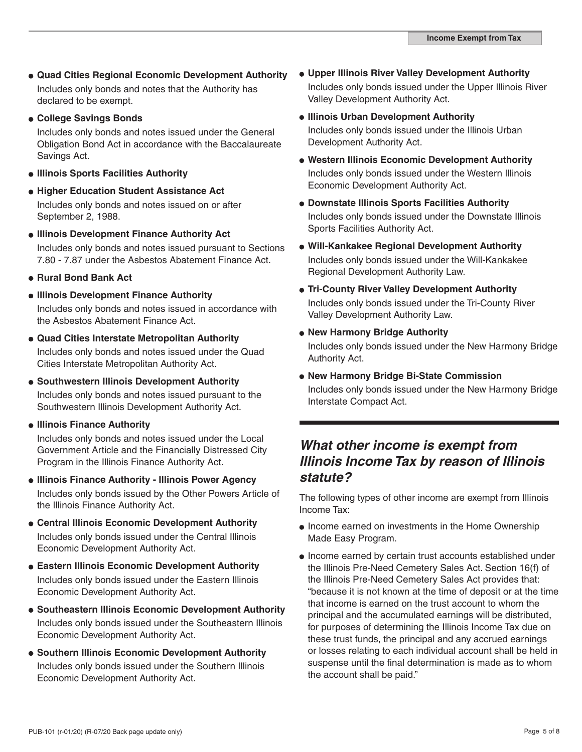- **Quad Cities Regional Economic Development Authority** Includes only bonds and notes that the Authority has declared to be exempt.
- **College Savings Bonds**

Includes only bonds and notes issued under the General Obligation Bond Act in accordance with the Baccalaureate Savings Act.

- **Illinois Sports Facilities Authority**
- **Higher Education Student Assistance Act** Includes only bonds and notes issued on or after September 2, 1988.
- **Illinois Development Finance Authority Act** Includes only bonds and notes issued pursuant to Sections 7.80 - 7.87 under the Asbestos Abatement Finance Act.
- **Rural Bond Bank Act**
- **Illinois Development Finance Authority** Includes only bonds and notes issued in accordance with the Asbestos Abatement Finance Act.
- **Quad Cities Interstate Metropolitan Authority**  Includes only bonds and notes issued under the Quad Cities Interstate Metropolitan Authority Act.
- **Southwestern Illinois Development Authority** Includes only bonds and notes issued pursuant to the Southwestern Illinois Development Authority Act.
- **Illinois Finance Authority**

Includes only bonds and notes issued under the Local Government Article and the Financially Distressed City Program in the Illinois Finance Authority Act.

- **Illinois Finance Authority Illinois Power Agency** Includes only bonds issued by the Other Powers Article of the Illinois Finance Authority Act.
- **Central Illinois Economic Development Authority** Includes only bonds issued under the Central Illinois Economic Development Authority Act.
- **Eastern Illinois Economic Development Authority** Includes only bonds issued under the Eastern Illinois Economic Development Authority Act.
- **Southeastern Illinois Economic Development Authority** Includes only bonds issued under the Southeastern Illinois Economic Development Authority Act.
- **Southern Illinois Economic Development Authority** Includes only bonds issued under the Southern Illinois Economic Development Authority Act.
- **Upper Illinois River Valley Development Authority** Includes only bonds issued under the Upper Illinois River Valley Development Authority Act.
- **Illinois Urban Development Authority** Includes only bonds issued under the Illinois Urban Development Authority Act.
- **Western Illinois Economic Development Authority** Includes only bonds issued under the Western Illinois Economic Development Authority Act.
- **Downstate Illinois Sports Facilities Authority** Includes only bonds issued under the Downstate Illinois Sports Facilities Authority Act.
- **Will-Kankakee Regional Development Authority** Includes only bonds issued under the Will-Kankakee Regional Development Authority Law.
- **Tri-County River Valley Development Authority** Includes only bonds issued under the Tri-County River Valley Development Authority Law.
- **New Harmony Bridge Authority**

Includes only bonds issued under the New Harmony Bridge Authority Act.

**New Harmony Bridge Bi-State Commission** Includes only bonds issued under the New Harmony Bridge Interstate Compact Act.

#### *What other income is exempt from Illinois Income Tax by reason of Illinois statute?*

The following types of other income are exempt from Illinois Income Tax:

- Income earned on investments in the Home Ownership Made Easy Program.
- Income earned by certain trust accounts established under the Illinois Pre-Need Cemetery Sales Act. Section 16(f) of the Illinois Pre-Need Cemetery Sales Act provides that: "because it is not known at the time of deposit or at the time that income is earned on the trust account to whom the principal and the accumulated earnings will be distributed, for purposes of determining the Illinois Income Tax due on these trust funds, the principal and any accrued earnings or losses relating to each individual account shall be held in suspense until the final determination is made as to whom the account shall be paid."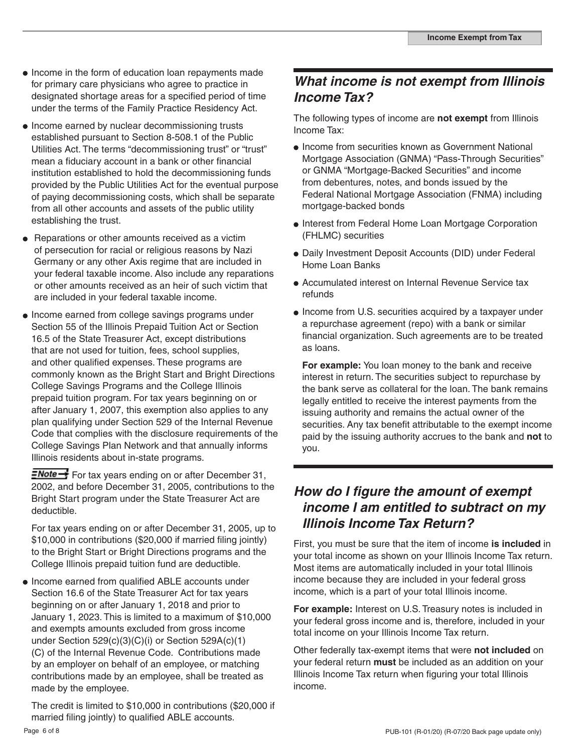- Income in the form of education loan repayments made for primary care physicians who agree to practice in designated shortage areas for a specified period of time under the terms of the Family Practice Residency Act.
- Income earned by nuclear decommissioning trusts established pursuant to Section 8-508.1 of the Public Utilities Act. The terms "decommissioning trust" or "trust" mean a fiduciary account in a bank or other financial institution established to hold the decommissioning funds provided by the Public Utilities Act for the eventual purpose of paying decommissioning costs, which shall be separate from all other accounts and assets of the public utility establishing the trust.
- Reparations or other amounts received as a victim of persecution for racial or religious reasons by Nazi Germany or any other Axis regime that are included in your federal taxable income. Also include any reparations or other amounts received as an heir of such victim that are included in your federal taxable income.
- Income earned from college savings programs under Section 55 of the Illinois Prepaid Tuition Act or Section 16.5 of the State Treasurer Act, except distributions that are not used for tuition, fees, school supplies, and other qualified expenses. These programs are commonly known as the Bright Start and Bright Directions College Savings Programs and the College Illinois prepaid tuition program. For tax years beginning on or after January 1, 2007, this exemption also applies to any plan qualifying under Section 529 of the Internal Revenue Code that complies with the disclosure requirements of the College Savings Plan Network and that annually informs Illinois residents about in-state programs.

**ENote** For tax years ending on or after December 31, 2002, and before December 31, 2005, contributions to the Bright Start program under the State Treasurer Act are deductible.

For tax years ending on or after December 31, 2005, up to \$10,000 in contributions (\$20,000 if married filing jointly) to the Bright Start or Bright Directions programs and the College Illinois prepaid tuition fund are deductible.

• Income earned from qualified ABLE accounts under Section 16.6 of the State Treasurer Act for tax years beginning on or after January 1, 2018 and prior to January 1, 2023. This is limited to a maximum of \$10,000 and exempts amounts excluded from gross income under Section 529(c)(3)(C)(i) or Section 529A(c)(1) (C) of the Internal Revenue Code. Contributions made by an employer on behalf of an employee, or matching contributions made by an employee, shall be treated as made by the employee.

The credit is limited to \$10,000 in contributions (\$20,000 if married filing jointly) to qualified ABLE accounts.

### *What income is not exempt from Illinois Income Tax?*

The following types of income are **not exempt** from Illinois Income Tax:

- Income from securities known as Government National Mortgage Association (GNMA) "Pass-Through Securities" or GNMA "Mortgage-Backed Securities" and income from debentures, notes, and bonds issued by the Federal National Mortgage Association (FNMA) including mortgage-backed bonds
- Interest from Federal Home Loan Mortgage Corporation (FHLMC) securities
- Daily Investment Deposit Accounts (DID) under Federal Home Loan Banks
- Accumulated interest on Internal Revenue Service tax refunds
- Income from U.S. securities acquired by a taxpayer under a repurchase agreement (repo) with a bank or similar financial organization. Such agreements are to be treated as loans.

**For example:** You loan money to the bank and receive interest in return. The securities subject to repurchase by the bank serve as collateral for the loan. The bank remains legally entitled to receive the interest payments from the issuing authority and remains the actual owner of the securities. Any tax benefit attributable to the exempt income paid by the issuing authority accrues to the bank and **not** to you.

#### *How do I figure the amount of exempt income I am entitled to subtract on my Illinois Income Tax Return?*

First, you must be sure that the item of income **is included** in your total income as shown on your Illinois Income Tax return. Most items are automatically included in your total Illinois income because they are included in your federal gross income, which is a part of your total Illinois income.

**For example:** Interest on U.S. Treasury notes is included in your federal gross income and is, therefore, included in your total income on your Illinois Income Tax return.

Other federally tax-exempt items that were **not included** on your federal return **must** be included as an addition on your Illinois Income Tax return when figuring your total Illinois income.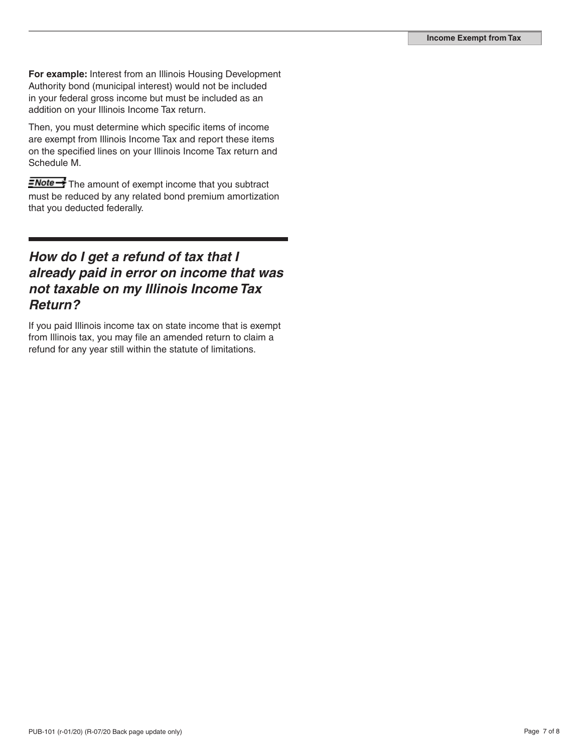**For example:** Interest from an Illinois Housing Development Authority bond (municipal interest) would not be included in your federal gross income but must be included as an addition on your Illinois Income Tax return.

Then, you must determine which specific items of income are exempt from Illinois Income Tax and report these items on the specified lines on your Illinois Income Tax return and Schedule M.

**ENote**<sup>1</sup> The amount of exempt income that you subtract must be reduced by any related bond premium amortization that you deducted federally.

### *How do I get a refund of tax that I already paid in error on income that was not taxable on my Illinois Income Tax Return?*

If you paid Illinois income tax on state income that is exempt from Illinois tax, you may file an amended return to claim a refund for any year still within the statute of limitations.